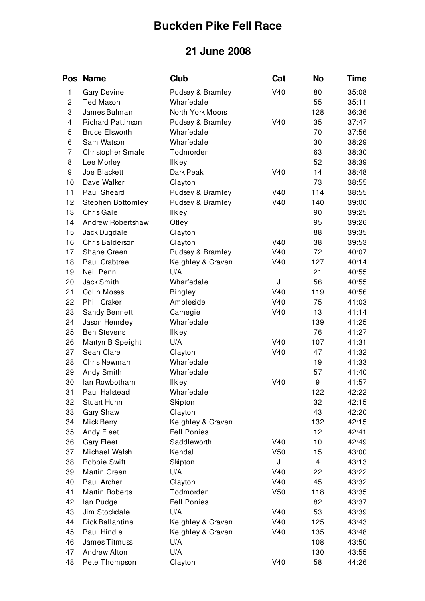## **Buckden Pike Fell Race**

## **21 June 2008**

| <b>Pos</b>     | <b>Name</b>              | <b>Club</b>        | Cat             | <b>No</b> | <b>Time</b> |
|----------------|--------------------------|--------------------|-----------------|-----------|-------------|
| 1              | <b>Gary Devine</b>       | Pudsey & Bramley   | V40             | 80        | 35:08       |
| $\overline{c}$ | <b>Ted Mason</b>         | Wharfedale         |                 | 55        | 35:11       |
| 3              | James Bulman             | North York Moors   |                 | 128       | 36:36       |
| 4              | <b>Richard Pattinson</b> | Pudsey & Bramley   | V40             | 35        | 37:47       |
| 5              | <b>Bruce Elsworth</b>    | Wharfedale         |                 | 70        | 37:56       |
| 6              | Sam Watson               | Wharfedale         |                 | 30        | 38:29       |
| 7              | <b>Christopher Smale</b> | Todmorden          |                 | 63        | 38:30       |
| 8              | Lee Morley               | <b>Ilkley</b>      |                 | 52        | 38:39       |
| 9              | Joe Blackett             | Dark Peak          | V40             | 14        | 38:48       |
| 10             | Dave Walker              | Clayton            |                 | 73        | 38:55       |
| 11             | Paul Sheard              | Pudsey & Bramley   | V40             | 114       | 38:55       |
| 12             | Stephen Bottomley        | Pudsey & Bramley   | V40             | 140       | 39:00       |
| 13             | Chris Gale               | <b>Ilkley</b>      |                 | 90        | 39:25       |
| 14             | Andrew Robertshaw        | Otley              |                 | 95        | 39:26       |
| 15             | Jack Dugdale             | Clayton            |                 | 88        | 39:35       |
| 16             | Chris Balderson          | Clayton            | V40             | 38        | 39:53       |
| 17             | Shane Green              | Pudsey & Bramley   | V40             | 72        | 40:07       |
| 18             | Paul Crabtree            | Keighley & Craven  | V40             | 127       | 40:14       |
| 19             | Neil Penn                | U/A                |                 | 21        | 40:55       |
| 20             | Jack Smith               | Wharfedale         | J               | 56        | 40:55       |
| 21             | Colin Moses              | <b>Bingley</b>     | V40             | 119       | 40:56       |
| 22             | Phill Craker             | Ambleside          | V40             | 75        | 41:03       |
| 23             | <b>Sandy Bennett</b>     | Carnegie           | V40             | 13        | 41:14       |
| 24             | Jason Hemsley            | Wharfedale         |                 | 139       | 41:25       |
| 25             | <b>Ben Stevens</b>       | <b>II</b> key      |                 | 76        | 41:27       |
| 26             | Martyn B Speight         | U/A                | V40             | 107       | 41:31       |
| 27             | Sean Clare               | Clayton            | V40             | 47        | 41:32       |
| 28             | Chris Newman             | Wharfedale         |                 | 19        | 41:33       |
| 29             | Andy Smith               | Wharfedale         |                 | 57        | 41:40       |
| 30             | lan Rowbotham            | <b>IIKey</b>       | V40             | 9         | 41:57       |
| 31             | Paul Halstead            | Wharfedale         |                 | 122       | 42:22       |
| 32             | <b>Stuart Hunn</b>       | Skipton            |                 | 32        | 42:15       |
| 33             | Gary Shaw                | Clayton            |                 | 43        | 42:20       |
| 34             | Mick Berry               | Keighley & Craven  |                 | 132       | 42:15       |
| 35             | <b>Andy Fleet</b>        | <b>Fell Ponies</b> |                 | 12        | 42:41       |
| 36             | <b>Gary Fleet</b>        | Saddleworth        | V40             | 10        | 42:49       |
| 37             | Michael Walsh            | Kendal             | V <sub>50</sub> | 15        | 43:00       |
| 38             | Robbie Swift             | Skipton            | J               | 4         | 43:13       |
| 39             | Martin Green             | U/A                | V40             | 22        | 43:22       |
| 40             | Paul Archer              | Clayton            | V40             | 45        | 43:32       |
| 41             | <b>Martin Roberts</b>    | Todmorden          | V <sub>50</sub> | 118       | 43:35       |
| 42             | lan Pudge                | <b>Fell Ponies</b> |                 | 82        | 43:37       |
| 43             | Jim Stockdale            | U/A                | V40             | 53        | 43:39       |
| 44             | Dick Ballantine          | Keighley & Craven  | V40             | 125       | 43:43       |
| 45             | Paul Hindle              | Keighley & Craven  | V40             | 135       | 43:48       |
| 46             | James Titmuss            | U/A                |                 | 108       | 43:50       |
| 47             | <b>Andrew Alton</b>      | U/A                |                 | 130       | 43:55       |
| 48             | Pete Thompson            | Clayton            | V40             | 58        | 44:26       |
|                |                          |                    |                 |           |             |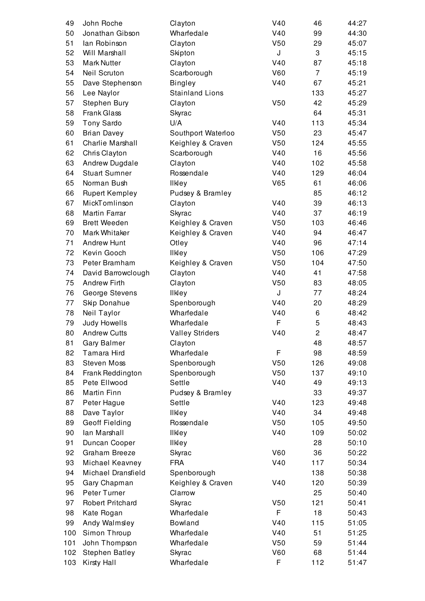| 49  | John Roche              | Clayton                    | V40             | 46             | 44:27 |
|-----|-------------------------|----------------------------|-----------------|----------------|-------|
| 50  | Jonathan Gibson         | Wharfedale                 | V40             | 99             | 44:30 |
| 51  | lan Robinson            | Clayton                    | V50             | 29             | 45:07 |
| 52  | Will Marshall           | Skipton                    | J               | 3              | 45:15 |
| 53  | <b>Mark Nutter</b>      | Clayton                    | V40             | 87             | 45:18 |
| 54  | Neil Scruton            | Scarborough                | <b>V60</b>      | $\overline{7}$ | 45:19 |
| 55  | Dave Stephenson         | <b>Bingley</b>             | V40             | 67             | 45:21 |
| 56  | Lee Naylor              | <b>Stainland Lions</b>     |                 | 133            | 45:27 |
| 57  | Stephen Bury            | Clayton                    | V50             | 42             | 45:29 |
| 58  | <b>Frank Glass</b>      | Skyrac                     |                 | 64             | 45:31 |
| 59  | <b>Tony Sardo</b>       | U/A                        | V40             | 113            | 45:34 |
| 60  | <b>Brian Davey</b>      | Southport Waterloo         | V <sub>50</sub> | 23             | 45:47 |
| 61  | Charlie Marshall        | Keighley & Craven          | V <sub>50</sub> | 124            | 45:55 |
| 62  | Chris Clayton           | Scarborough                | V40             | 16             | 45:56 |
| 63  | Andrew Dugdale          | Clayton                    | V40             | 102            | 45:58 |
| 64  | <b>Stuart Sumner</b>    | Rossendale                 | V40             | 129            | 46:04 |
| 65  | Norman Bush             | <b>Ilkley</b>              | <b>V65</b>      | 61             | 46:06 |
| 66  | <b>Rupert Kempley</b>   | Pudsey & Bramley           |                 | 85             | 46:12 |
| 67  | MickTomlinson           | Clayton                    | V40             | 39             | 46:13 |
| 68  | Martin Farrar           | Skyrac                     | V40             | 37             | 46:19 |
| 69  | <b>Brett Weeden</b>     | Keighley & Craven          | V <sub>50</sub> | 103            | 46:46 |
| 70  | Mark Whitaker           | Keighley & Craven          | V40             | 94             | 46:47 |
| 71  | <b>Andrew Hunt</b>      | Otley                      | V40             | 96             | 47:14 |
| 72  | Kevin Gooch             | <b>II</b> key              | V <sub>50</sub> | 106            | 47:29 |
| 73  | Peter Bramham           | Keighley & Craven          | V <sub>50</sub> | 104            | 47:50 |
| 74  | David Barrowclough      | Clayton                    | V40             | 41             | 47:58 |
| 75  | <b>Andrew Firth</b>     | Clayton                    | V50             | 83             | 48:05 |
| 76  | George Stevens          | <b>Ilkley</b>              | J               | 77             | 48:24 |
| 77  | Skip Donahue            | Spenborough                | V40             | 20             | 48:29 |
| 78  | Neil Taylor             | Wharfedale                 | V40             | 6              | 48:42 |
| 79  | Judy Howells            | Wharfedale                 | F               | 5              | 48:43 |
| 80  | <b>Andrew Cutts</b>     | <b>Valley Striders</b>     | V40             | $\overline{c}$ | 48:47 |
| 81  | <b>Gary Balmer</b>      | Clayton                    |                 | 48             | 48:57 |
| 82  | Tamara Hird             | Wharfedale                 | F               | 98             | 48:59 |
| 83  | <b>Steven Moss</b>      | Spenborough                | V50             | 126            | 49:08 |
| 84  | Frank Reddington        | Spenborough                | V50             | 137            | 49:10 |
| 85  | Pete Ellwood            | Settle                     | V40             | 49             | 49:13 |
|     | <b>Martin Finn</b>      |                            |                 | 33             | 49:37 |
| 86  |                         | Pudsey & Bramley<br>Settle | V40             | 123            |       |
| 87  | Peter Hague             |                            | V40             | 34             | 49:48 |
| 88  | Dave Taylor             | <b>Ilkley</b>              |                 |                | 49:48 |
| 89  | <b>Geoff Fielding</b>   | Rossendale                 | V50             | 105            | 49:50 |
| 90  | lan Marshall            | <b>II</b> key              | V40             | 109            | 50:02 |
| 91  | Duncan Cooper           | <b>II</b> key              |                 | 28             | 50:10 |
| 92  | Graham Breeze           | Skyrac                     | V60             | 36             | 50:22 |
| 93  | Michael Keavney         | <b>FRA</b>                 | V40             | 117            | 50:34 |
| 94  | Michael Dransfield      | Spenborough                |                 | 138            | 50:38 |
| 95  | Gary Chapman            | Keighley & Craven          | V40             | 120            | 50:39 |
| 96  | Peter Turner            | Clarrow                    |                 | 25             | 50:40 |
| 97  | <b>Robert Pritchard</b> | Skyrac                     | V <sub>50</sub> | 121            | 50:41 |
| 98  | Kate Rogan              | Wharfedale                 | F               | 18             | 50:43 |
| 99  | Andy Walmsley           | <b>Bowland</b>             | V40             | 115            | 51:05 |
| 100 | Simon Throup            | Wharfedale                 | V40             | 51             | 51:25 |
| 101 | John Thompson           | Wharfedale                 | V50             | 59             | 51:44 |
| 102 | <b>Stephen Batley</b>   | Skyrac                     | V60             | 68             | 51:44 |
| 103 | Kirsty Hall             | Wharfedale                 | F               | 112            | 51:47 |